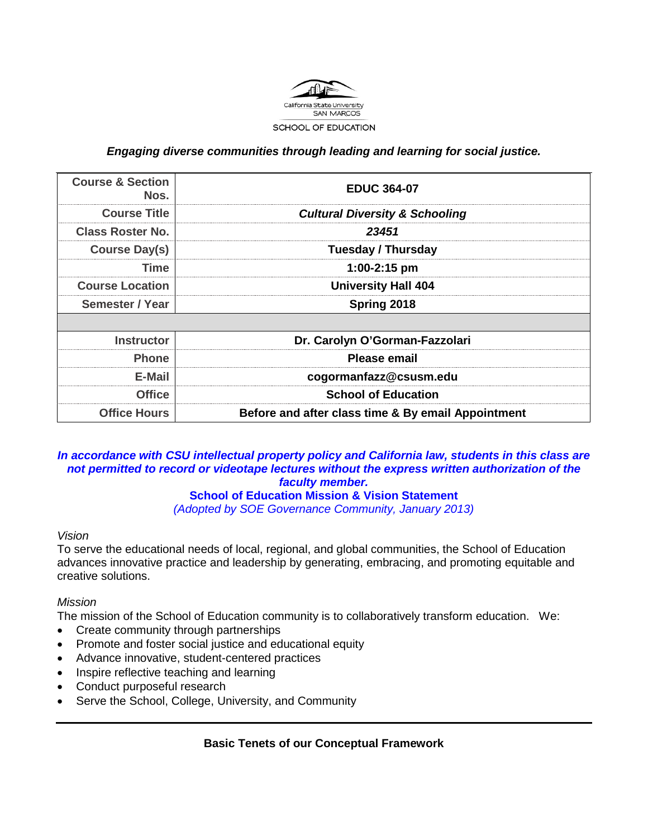

### *Engaging diverse communities through leading and learning for social justice.*

| <b>Course &amp; Section</b><br>Nos. | <b>EDUC 364-07</b>                                 |
|-------------------------------------|----------------------------------------------------|
| <b>Course Title</b>                 | <b>Cultural Diversity &amp; Schooling</b>          |
| <b>Class Roster No.</b>             | 23451                                              |
| <b>Course Day(s)</b>                | <b>Tuesday / Thursday</b>                          |
| <b>Time</b>                         | $1:00-2:15$ pm                                     |
| <b>Course Location</b>              | <b>University Hall 404</b>                         |
| Semester / Year                     | Spring 2018                                        |
|                                     |                                                    |
| <b>Instructor</b>                   | Dr. Carolyn O'Gorman-Fazzolari                     |
| <b>Phone</b>                        | Please email                                       |
| E-Mail                              | cogormanfazz@csusm.edu                             |
| <b>Office</b>                       | <b>School of Education</b>                         |
| <b>Office Hours</b>                 | Before and after class time & By email Appointment |

### *In accordance with CSU intellectual property policy and California law, students in this class are not permitted to record or videotape lectures without the express written authorization of the faculty member.*

### **School of Education Mission & Vision Statement**

*(Adopted by SOE Governance Community, January 2013)*

#### *Vision*

To serve the educational needs of local, regional, and global communities, the School of Education advances innovative practice and leadership by generating, embracing, and promoting equitable and creative solutions.

### *Mission*

The mission of the School of Education community is to collaboratively transform education. We:

- Create community through partnerships
- Promote and foster social justice and educational equity
- Advance innovative, student-centered practices
- Inspire reflective teaching and learning
- Conduct purposeful research
- Serve the School, College, University, and Community

### **Basic Tenets of our Conceptual Framework**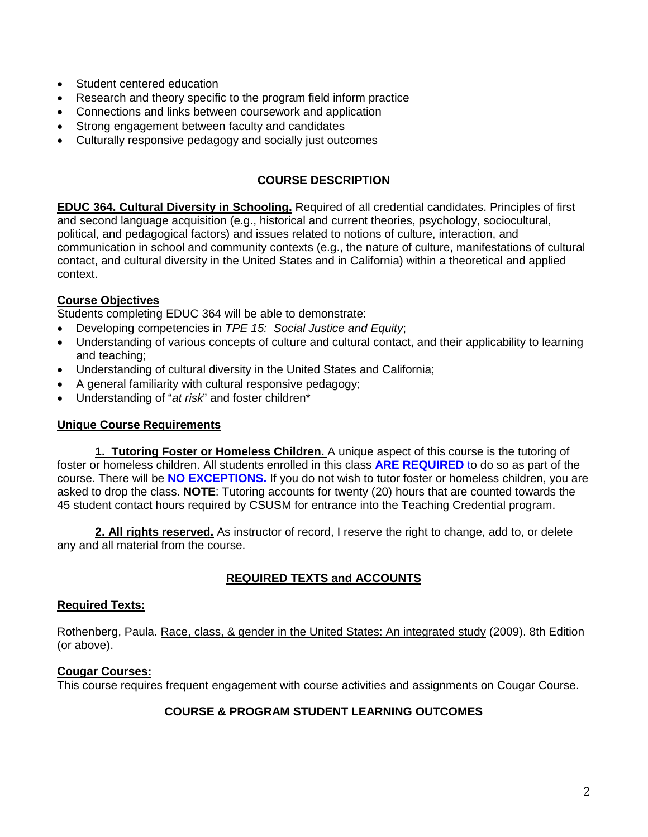- Student centered education
- Research and theory specific to the program field inform practice
- Connections and links between coursework and application
- Strong engagement between faculty and candidates
- Culturally responsive pedagogy and socially just outcomes

### **COURSE DESCRIPTION**

**EDUC 364. Cultural Diversity in Schooling.** Required of all credential candidates. Principles of first and second language acquisition (e.g., historical and current theories, psychology, sociocultural, political, and pedagogical factors) and issues related to notions of culture, interaction, and communication in school and community contexts (e.g., the nature of culture, manifestations of cultural contact, and cultural diversity in the United States and in California) within a theoretical and applied context.

### **Course Objectives**

Students completing EDUC 364 will be able to demonstrate:

- Developing competencies in *TPE 15: Social Justice and Equity*;
- Understanding of various concepts of culture and cultural contact, and their applicability to learning and teaching;
- Understanding of cultural diversity in the United States and California;
- A general familiarity with cultural responsive pedagogy;
- Understanding of "*at risk*" and foster children\*

#### **Unique Course Requirements**

**1. Tutoring Foster or Homeless Children.** A unique aspect of this course is the tutoring of foster or homeless children. All students enrolled in this class **ARE REQUIRED** to do so as part of the course. There will be **NO EXCEPTIONS.** If you do not wish to tutor foster or homeless children, you are asked to drop the class. **NOTE**: Tutoring accounts for twenty (20) hours that are counted towards the 45 student contact hours required by CSUSM for entrance into the Teaching Credential program.

**2. All rights reserved.** As instructor of record, I reserve the right to change, add to, or delete any and all material from the course.

# **REQUIRED TEXTS and ACCOUNTS**

#### **Required Texts:**

Rothenberg, Paula. Race, class, & gender in the United States: An integrated study (2009). 8th Edition (or above).

#### **Cougar Courses:**

This course requires frequent engagement with course activities and assignments on Cougar Course.

### **COURSE & PROGRAM STUDENT LEARNING OUTCOMES**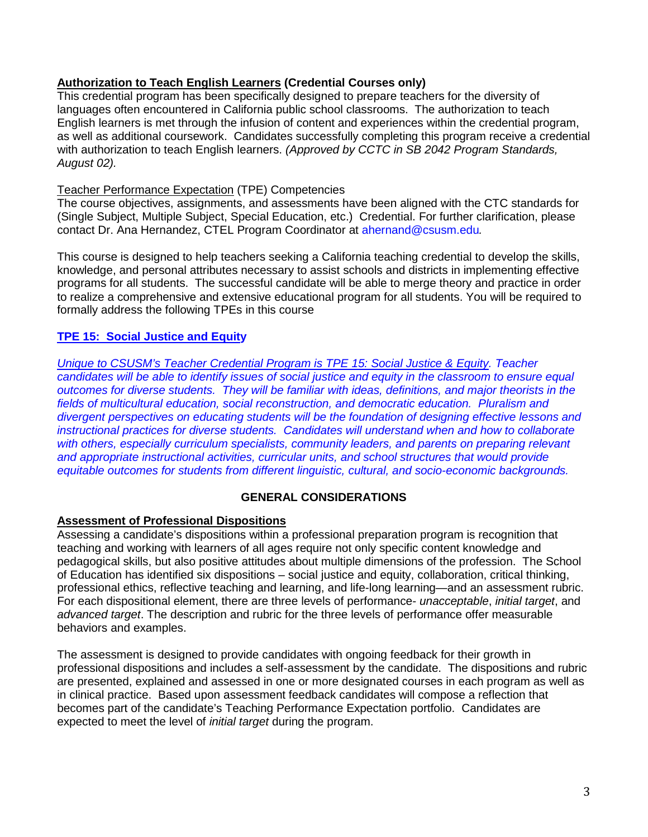## **Authorization to Teach English Learners (Credential Courses only)**

This credential program has been specifically designed to prepare teachers for the diversity of languages often encountered in California public school classrooms. The authorization to teach English learners is met through the infusion of content and experiences within the credential program, as well as additional coursework. Candidates successfully completing this program receive a credential with authorization to teach English learners. *(Approved by CCTC in SB 2042 Program Standards, August 02).*

### Teacher Performance Expectation (TPE) Competencies

The course objectives, assignments, and assessments have been aligned with the CTC standards for (Single Subject, Multiple Subject, Special Education, etc.) Credential. For further clarification, please contact Dr. Ana Hernandez, CTEL Program Coordinator at [ahernand@csusm.edu](mailto:ahernand@csusm.edu)*.*

This course is designed to help teachers seeking a California teaching credential to develop the skills, knowledge, and personal attributes necessary to assist schools and districts in implementing effective programs for all students. The successful candidate will be able to merge theory and practice in order to realize a comprehensive and extensive educational program for all students. You will be required to formally address the following TPEs in this course

## **TPE 15: Social Justice and Equity**

*Unique to CSUSM's Teacher Credential Program is TPE 15: Social Justice & Equity. Teacher candidates will be able to identify issues of social justice and equity in the classroom to ensure equal outcomes for diverse students. They will be familiar with ideas, definitions, and major theorists in the fields of multicultural education, social reconstruction, and democratic education. Pluralism and divergent perspectives on educating students will be the foundation of designing effective lessons and instructional practices for diverse students. Candidates will understand when and how to collaborate*  with others, especially curriculum specialists, community leaders, and parents on preparing relevant *and appropriate instructional activities, curricular units, and school structures that would provide equitable outcomes for students from different linguistic, cultural, and socio-economic backgrounds.*

### **GENERAL CONSIDERATIONS**

### **Assessment of Professional Dispositions**

Assessing a candidate's dispositions within a professional preparation program is recognition that teaching and working with learners of all ages require not only specific content knowledge and pedagogical skills, but also positive attitudes about multiple dimensions of the profession. The School of Education has identified six dispositions – social justice and equity, collaboration, critical thinking, professional ethics, reflective teaching and learning, and life-long learning—and an assessment rubric. For each dispositional element, there are three levels of performance- *unacceptable*, *initial target*, and *advanced target*. The description and rubric for the three levels of performance offer measurable behaviors and examples.

The assessment is designed to provide candidates with ongoing feedback for their growth in professional dispositions and includes a self-assessment by the candidate. The dispositions and rubric are presented, explained and assessed in one or more designated courses in each program as well as in clinical practice. Based upon assessment feedback candidates will compose a reflection that becomes part of the candidate's Teaching Performance Expectation portfolio. Candidates are expected to meet the level of *initial target* during the program.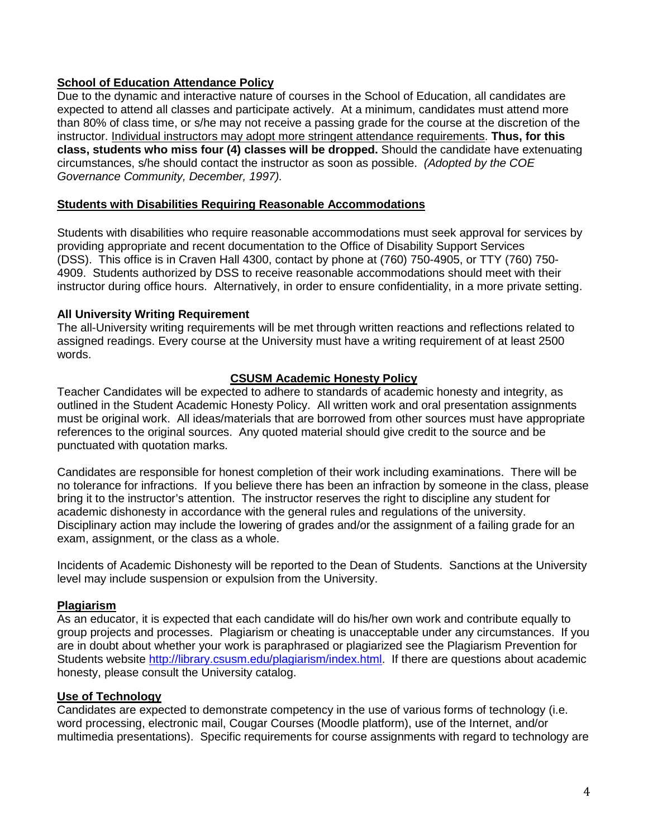## **School of Education Attendance Policy**

Due to the dynamic and interactive nature of courses in the School of Education, all candidates are expected to attend all classes and participate actively. At a minimum, candidates must attend more than 80% of class time, or s/he may not receive a passing grade for the course at the discretion of the instructor. Individual instructors may adopt more stringent attendance requirements. **Thus, for this class, students who miss four (4) classes will be dropped.** Should the candidate have extenuating circumstances, s/he should contact the instructor as soon as possible. *(Adopted by the COE Governance Community, December, 1997).*

### **Students with Disabilities Requiring Reasonable Accommodations**

Students with disabilities who require reasonable accommodations must seek approval for services by providing appropriate and recent documentation to the Office of Disability Support Services (DSS). This office is in Craven Hall 4300, contact by phone at (760) 750-4905, or TTY (760) 750- 4909. Students authorized by DSS to receive reasonable accommodations should meet with their instructor during office hours. Alternatively, in order to ensure confidentiality, in a more private setting.

#### **All University Writing Requirement**

The all-University writing requirements will be met through written reactions and reflections related to assigned readings. Every course at the University must have a writing requirement of at least 2500 words.

### **CSUSM Academic Honesty Policy**

Teacher Candidates will be expected to adhere to standards of academic honesty and integrity, as outlined in the Student Academic Honesty Policy. All written work and oral presentation assignments must be original work. All ideas/materials that are borrowed from other sources must have appropriate references to the original sources. Any quoted material should give credit to the source and be punctuated with quotation marks.

Candidates are responsible for honest completion of their work including examinations. There will be no tolerance for infractions. If you believe there has been an infraction by someone in the class, please bring it to the instructor's attention. The instructor reserves the right to discipline any student for academic dishonesty in accordance with the general rules and regulations of the university. Disciplinary action may include the lowering of grades and/or the assignment of a failing grade for an exam, assignment, or the class as a whole.

Incidents of Academic Dishonesty will be reported to the Dean of Students. Sanctions at the University level may include suspension or expulsion from the University.

### **Plagiarism**

As an educator, it is expected that each candidate will do his/her own work and contribute equally to group projects and processes. Plagiarism or cheating is unacceptable under any circumstances. If you are in doubt about whether your work is paraphrased or plagiarized see the Plagiarism Prevention for Students website [http://library.csusm.edu/plagiarism/index.html.](http://library.csusm.edu/plagiarism/index.html) If there are questions about academic honesty, please consult the University catalog.

### **Use of Technology**

Candidates are expected to demonstrate competency in the use of various forms of technology (i.e. word processing, electronic mail, Cougar Courses (Moodle platform), use of the Internet, and/or multimedia presentations). Specific requirements for course assignments with regard to technology are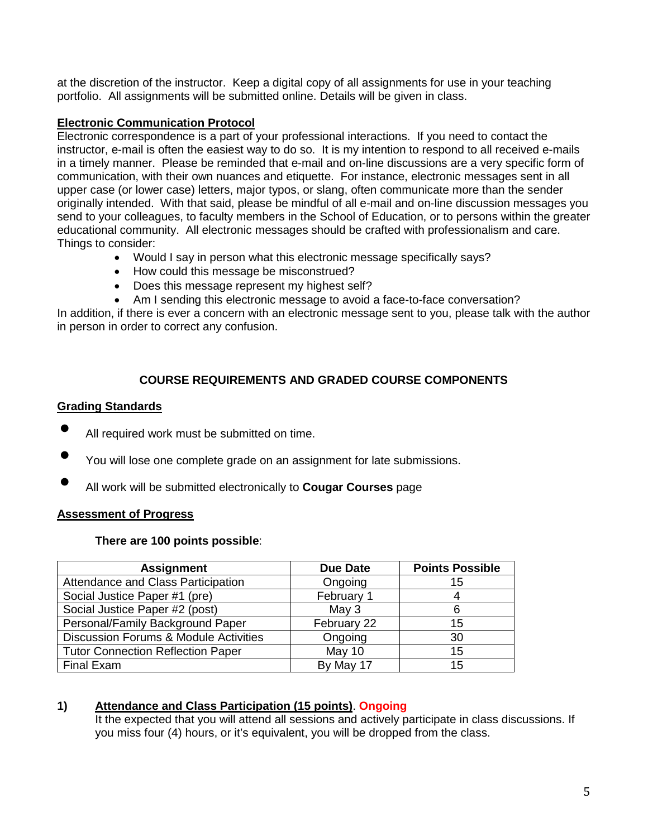at the discretion of the instructor. Keep a digital copy of all assignments for use in your teaching portfolio. All assignments will be submitted online. Details will be given in class.

### **Electronic Communication Protocol**

Electronic correspondence is a part of your professional interactions. If you need to contact the instructor, e-mail is often the easiest way to do so. It is my intention to respond to all received e-mails in a timely manner. Please be reminded that e-mail and on-line discussions are a very specific form of communication, with their own nuances and etiquette. For instance, electronic messages sent in all upper case (or lower case) letters, major typos, or slang, often communicate more than the sender originally intended. With that said, please be mindful of all e-mail and on-line discussion messages you send to your colleagues, to faculty members in the School of Education, or to persons within the greater educational community. All electronic messages should be crafted with professionalism and care. Things to consider:

- Would I say in person what this electronic message specifically says?
- How could this message be misconstrued?
- Does this message represent my highest self?
- Am I sending this electronic message to avoid a face-to-face conversation?

In addition, if there is ever a concern with an electronic message sent to you, please talk with the author in person in order to correct any confusion.

# **COURSE REQUIREMENTS AND GRADED COURSE COMPONENTS**

## **Grading Standards**

- All required work must be submitted on time.
- You will lose one complete grade on an assignment for late submissions.
- All work will be submitted electronically to **Cougar Courses** page

# **Assessment of Progress**

### **There are 100 points possible**:

| <b>Assignment</b>                                | <b>Due Date</b> | <b>Points Possible</b> |
|--------------------------------------------------|-----------------|------------------------|
| Attendance and Class Participation               | Ongoing         | 15                     |
| Social Justice Paper #1 (pre)                    | February 1      |                        |
| Social Justice Paper #2 (post)                   | May $3$         |                        |
| Personal/Family Background Paper                 | February 22     | 15                     |
| <b>Discussion Forums &amp; Module Activities</b> | Ongoing         | 30                     |
| <b>Tutor Connection Reflection Paper</b>         | May 10          | 15                     |
| Final Exam                                       | By May 17       | 15                     |

# **1) Attendance and Class Participation (15 points)**. **Ongoing**

It the expected that you will attend all sessions and actively participate in class discussions. If you miss four (4) hours, or it's equivalent, you will be dropped from the class.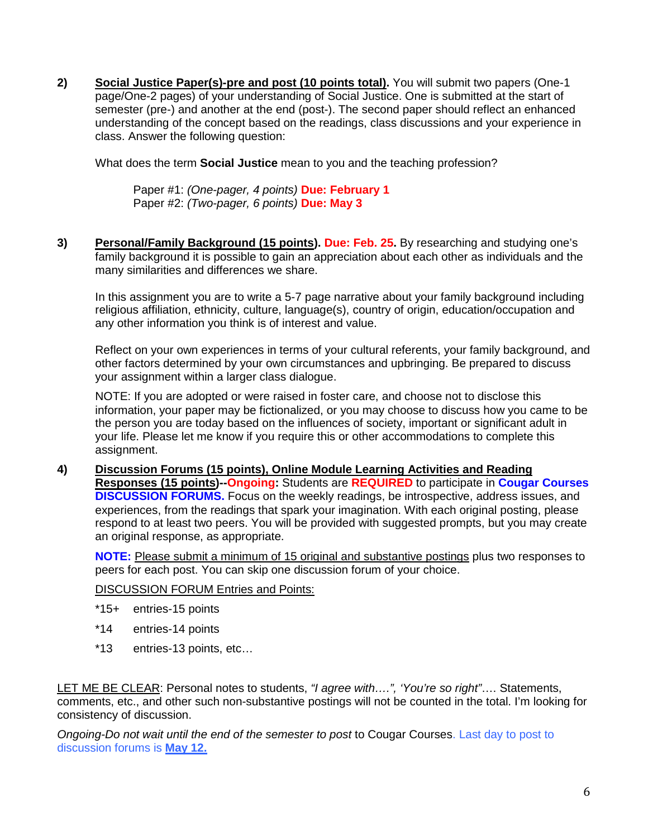**2) Social Justice Paper(s)-pre and post (10 points total).** You will submit two papers (One-1 page/One-2 pages) of your understanding of Social Justice. One is submitted at the start of semester (pre-) and another at the end (post-). The second paper should reflect an enhanced understanding of the concept based on the readings, class discussions and your experience in class. Answer the following question:

What does the term **Social Justice** mean to you and the teaching profession?

Paper #1: *(One-pager, 4 points)* **Due: February 1** Paper #2: *(Two-pager, 6 points)* **Due: May 3**

**3) Personal/Family Background (15 points). Due: Feb. 25.** By researching and studying one's family background it is possible to gain an appreciation about each other as individuals and the many similarities and differences we share.

In this assignment you are to write a 5-7 page narrative about your family background including religious affiliation, ethnicity, culture, language(s), country of origin, education/occupation and any other information you think is of interest and value.

Reflect on your own experiences in terms of your cultural referents, your family background, and other factors determined by your own circumstances and upbringing. Be prepared to discuss your assignment within a larger class dialogue.

NOTE: If you are adopted or were raised in foster care, and choose not to disclose this information, your paper may be fictionalized, or you may choose to discuss how you came to be the person you are today based on the influences of society, important or significant adult in your life. Please let me know if you require this or other accommodations to complete this assignment.

**4) Discussion Forums (15 points), Online Module Learning Activities and Reading Responses (15 points)--Ongoing:** Students are **REQUIRED** to participate in **Cougar Courses DISCUSSION FORUMS.** Focus on the weekly readings, be introspective, address issues, and experiences, from the readings that spark your imagination. With each original posting, please respond to at least two peers. You will be provided with suggested prompts, but you may create an original response, as appropriate.

**NOTE:** Please submit a minimum of 15 original and substantive postings plus two responses to peers for each post. You can skip one discussion forum of your choice.

DISCUSSION FORUM Entries and Points:

- \*15+ entries-15 points
- \*14 entries-14 points
- \*13 entries-13 points, etc…

LET ME BE CLEAR: Personal notes to students, *"I agree with….", 'You're so right"*…. Statements, comments, etc., and other such non-substantive postings will not be counted in the total. I'm looking for consistency of discussion.

*Ongoing-Do not wait until the end of the semester to post* to Cougar Courses. Last day to post to discussion forums is **May 12.**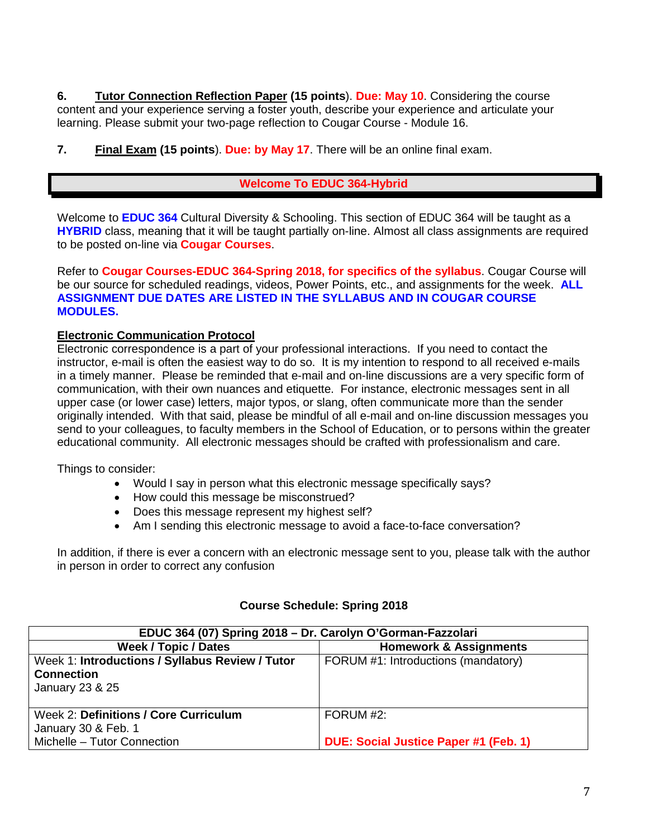**6. Tutor Connection Reflection Paper (15 points**). **Due: May 10**. Considering the course content and your experience serving a foster youth, describe your experience and articulate your learning. Please submit your two-page reflection to Cougar Course - Module 16.

**7. Final Exam (15 points**). **Due: by May 17**. There will be an online final exam.

# **Welcome To EDUC 364-Hybrid**

Welcome to **EDUC 364** Cultural Diversity & Schooling. This section of EDUC 364 will be taught as a **HYBRID** class, meaning that it will be taught partially on-line. Almost all class assignments are required to be posted on-line via **Cougar Courses**.

Refer to **Cougar Courses-EDUC 364-Spring 2018, for specifics of the syllabus**. Cougar Course will be our source for scheduled readings, videos, Power Points, etc., and assignments for the week. **ALL ASSIGNMENT DUE DATES ARE LISTED IN THE SYLLABUS AND IN COUGAR COURSE MODULES.** 

## **Electronic Communication Protocol**

Electronic correspondence is a part of your professional interactions. If you need to contact the instructor, e-mail is often the easiest way to do so. It is my intention to respond to all received e-mails in a timely manner. Please be reminded that e-mail and on-line discussions are a very specific form of communication, with their own nuances and etiquette. For instance, electronic messages sent in all upper case (or lower case) letters, major typos, or slang, often communicate more than the sender originally intended. With that said, please be mindful of all e-mail and on-line discussion messages you send to your colleagues, to faculty members in the School of Education, or to persons within the greater educational community. All electronic messages should be crafted with professionalism and care.

Things to consider:

- Would I say in person what this electronic message specifically says?
- How could this message be misconstrued?
- Does this message represent my highest self?
- Am I sending this electronic message to avoid a face-to-face conversation?

In addition, if there is ever a concern with an electronic message sent to you, please talk with the author in person in order to correct any confusion

### **Course Schedule: Spring 2018**

| EDUC 364 (07) Spring 2018 - Dr. Carolyn O'Gorman-Fazzolari |                                              |  |  |
|------------------------------------------------------------|----------------------------------------------|--|--|
| <b>Week / Topic / Dates</b>                                | <b>Homework &amp; Assignments</b>            |  |  |
| Week 1: Introductions / Syllabus Review / Tutor            | FORUM #1: Introductions (mandatory)          |  |  |
| <b>Connection</b>                                          |                                              |  |  |
| January 23 & 25                                            |                                              |  |  |
|                                                            |                                              |  |  |
| Week 2: Definitions / Core Curriculum                      | FORUM #2:                                    |  |  |
| January 30 & Feb. 1                                        |                                              |  |  |
| Michelle - Tutor Connection                                | <b>DUE: Social Justice Paper #1 (Feb. 1)</b> |  |  |